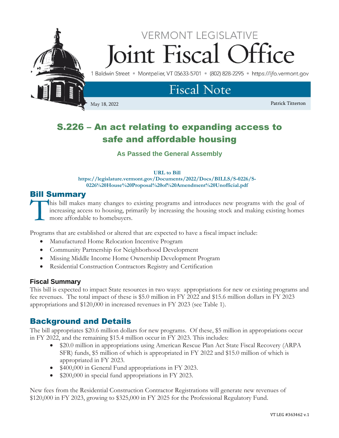

# S.226 – An act relating to expanding access to safe and affordable housing

**As Passed the General Assembly**

#### **URL to Bill**

**https://legislature.vermont.gov/Documents/2022/Docs/BILLS/S-0226/S-0226%20House%20Proposal%20of%20Amendment%20Unofficial.pdf**

# Bill Summary

his bill makes many changes to existing programs and introduces new programs with the goal of increasing access to housing, primarily by increasing the housing stock and making existing homes more affordable to homebuyers. **T** 

Programs that are established or altered that are expected to have a fiscal impact include:

- Manufactured Home Relocation Incentive Program
- Community Partnership for Neighborhood Development
- Missing Middle Income Home Ownership Development Program
- Residential Construction Contractors Registry and Certification

# **Fiscal Summary**

This bill is expected to impact State resources in two ways: appropriations for new or existing programs and fee revenues. The total impact of these is \$5.0 million in FY 2022 and \$15.6 million dollars in FY 2023 appropriations and \$120,000 in increased revenues in FY 2023 (see Table 1).

# Background and Details

The bill appropriates \$20.6 million dollars for new programs. Of these, \$5 million in appropriations occur in FY 2022, and the remaining \$15.4 million occur in FY 2023. This includes:

- \$20.0 million in appropriations using American Rescue Plan Act State Fiscal Recovery (ARPA) SFR) funds, \$5 million of which is appropriated in FY 2022 and \$15.0 million of which is appropriated in FY 2023.
- \$400,000 in General Fund appropriations in FY 2023.
- \$200,000 in special fund appropriations in FY 2023.

New fees from the Residential Construction Contractor Registrations will generate new revenues of \$120,000 in FY 2023, growing to \$325,000 in FY 2025 for the Professional Regulatory Fund.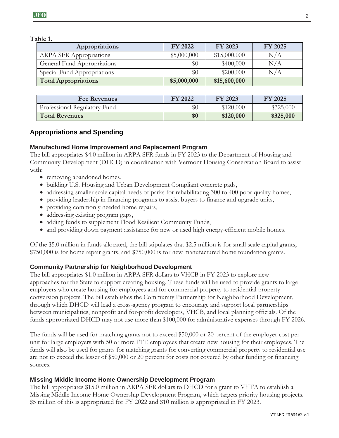**Table 1.**

| Appropriations                 | <b>FY 2022</b> | FY 2023      | <b>FY 2025</b> |
|--------------------------------|----------------|--------------|----------------|
| <b>ARPA SFR Appropriations</b> | \$5,000,000    | \$15,000,000 | N/A            |
| General Fund Appropriations    | \$0            | \$400,000    | N/A            |
| Special Fund Appropriations    | $\$0$          | \$200,000    | N/A            |
| <b>Total Appropriations</b>    | \$5,000,000    | \$15,600,000 |                |

| <b>Fee Revenues</b>          | FY 2022 | FY 2023   | FY 2025   |
|------------------------------|---------|-----------|-----------|
| Professional Regulatory Fund | $\$0$   | \$120,000 | \$325,000 |
| <b>Total Revenues</b>        | \$0     | \$120,000 | \$325,000 |

# **Appropriations and Spending**

#### **Manufactured Home Improvement and Replacement Program**

The bill appropriates \$4.0 million in ARPA SFR funds in FY 2023 to the Department of Housing and Community Development (DHCD) in coordination with Vermont Housing Conservation Board to assist with:

- removing abandoned homes,
- building U.S. Housing and Urban Development Compliant concrete pads,
- addressing smaller scale capital needs of parks for rehabilitating 300 to 400 poor quality homes,
- providing leadership in financing programs to assist buyers to finance and upgrade units,
- providing commonly needed home repairs,
- addressing existing program gaps,
- adding funds to supplement Flood Resilient Community Funds,
- and providing down payment assistance for new or used high energy-efficient mobile homes.

Of the \$5.0 million in funds allocated, the bill stipulates that \$2.5 million is for small scale capital grants, \$750,000 is for home repair grants, and \$750,000 is for new manufactured home foundation grants.

# **Community Partnership for Neighborhood Development**

The bill appropriates \$1.0 million in ARPA SFR dollars to VHCB in FY 2023 to explore new approaches for the State to support creating housing. These funds will be used to provide grants to large employers who create housing for employees and for commercial property to residential property conversion projects. The bill establishes the Community Partnership for Neighborhood Development, through which DHCD will lead a cross-agency program to encourage and support local partnerships between municipalities, nonprofit and for-profit developers, VHCB, and local planning officials. Of the funds appropriated DHCD may not use more than \$100,000 for administrative expenses through FY 2026.

The funds will be used for matching grants not to exceed \$50,000 or 20 percent of the employer cost per unit for large employers with 50 or more FTE employees that create new housing for their employees. The funds will also be used for grants for matching grants for converting commercial property to residential use are not to exceed the lesser of \$50,000 or 20 percent for costs not covered by other funding or financing sources.

#### **Missing Middle Income Home Ownership Development Program**

The bill appropriates \$15.0 million in ARPA SFR dollars to DHCD for a grant to VHFA to establish a Missing Middle Income Home Ownership Development Program, which targets priority housing projects. \$5 million of this is appropriated for FY 2022 and \$10 million is appropriated in FY 2023.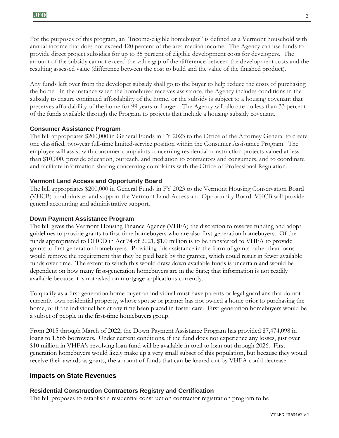For the purposes of this program, an "Income-eligible homebuyer" is defined as a Vermont household with annual income that does not exceed 120 percent of the area median income. The Agency can use funds to provide direct project subsidies for up to 35 percent of eligible development costs for developers. The amount of the subsidy cannot exceed the value gap of the difference between the development costs and the resulting assessed value (difference between the cost to build and the value of the finished product).

Any funds left over from the developer subsidy shall go to the buyer to help reduce the costs of purchasing the home. In the instance when the homebuyer receives assistance, the Agency includes conditions in the subsidy to ensure continued affordability of the home, or the subsidy is subject to a housing covenant that preserves affordability of the home for 99 years or longer. The Agency will allocate no less than 33 percent of the funds available through the Program to projects that include a housing subsidy covenant.

#### **Consumer Assistance Program**

The bill appropriates \$200,000 in General Funds in FY 2023 to the Office of the Attorney General to create one classified, two-year full-time limited-service position within the Consumer Assistance Program. The employee will assist with consumer complaints concerning residential construction projects valued at less than \$10,000, provide education, outreach, and mediation to contractors and consumers, and to coordinate and facilitate information sharing concerning complaints with the Office of Professional Regulation.

#### **Vermont Land Access and Opportunity Board**

The bill appropriates \$200,000 in General Funds in FY 2023 to the Vermont Housing Conservation Board (VHCB) to administer and support the Vermont Land Access and Opportunity Board. VHCB will provide general accounting and administrative support.

#### **Down Payment Assistance Program**

The bill gives the Vermont Housing Finance Agency (VHFA) the discretion to reserve funding and adopt guidelines to provide grants to first-time homebuyers who are also first-generation homebuyers. Of the funds appropriated to DHCD in Act 74 of 2021, \$1.0 million is to be transferred to VHFA to provide grants to first-generation homebuyers. Providing this assistance in the form of grants rather than loans would remove the requirement that they be paid back by the grantee, which could result in fewer available funds over time. The extent to which this would draw down available funds is uncertain and would be dependent on how many first-generation homebuyers are in the State; that information is not readily available because it is not asked on mortgage applications currently.

To qualify as a first-generation home buyer an individual must have parents or legal guardians that do not currently own residential property, whose spouse or partner has not owned a home prior to purchasing the home, or if the individual has at any time been placed in foster care. First-generation homebuyers would be a subset of people in the first-time homebuyers group.

From 2015 through March of 2022, the Down Payment Assistance Program has provided \$7,474,098 in loans to 1,565 borrowers. Under current conditions, if the fund does not experience any losses, just over \$10 million in VHFA's revolving loan fund will be available in total to loan out through 2026. Firstgeneration homebuyers would likely make up a very small subset of this population, but because they would receive their awards as grants, the amount of funds that can be loaned out by VHFA could decrease.

#### **Impacts on State Revenues**

#### **Residential Construction Contractors Registry and Certification**

The bill proposes to establish a residential construction contractor registration program to be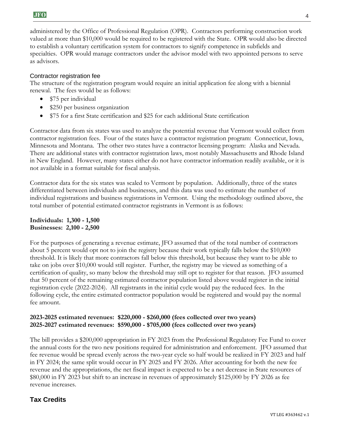administered by the Office of Professional Regulation (OPR). Contractors performing construction work valued at more than \$10,000 would be required to be registered with the State. OPR would also be directed to establish a voluntary certification system for contractors to signify competence in subfields and specialties. OPR would manage contractors under the advisor model with two appointed persons to serve as advisors.

#### Contractor registration fee

The structure of the registration program would require an initial application fee along with a biennial renewal. The fees would be as follows:

- \$75 per individual
- \$250 per business organization
- \$75 for a first State certification and \$25 for each additional State certification

Contractor data from six states was used to analyze the potential revenue that Vermont would collect from contractor registration fees. Four of the states have a contractor registration program: Connecticut, Iowa, Minnesota and Montana. The other two states have a contractor licensing program: Alaska and Nevada. There are additional states with contractor registration laws, most notably Massachusetts and Rhode Island in New England. However, many states either do not have contractor information readily available, or it is not available in a format suitable for fiscal analysis.

Contractor data for the six states was scaled to Vermont by population. Additionally, three of the states differentiated between individuals and businesses, and this data was used to estimate the number of individual registrations and business registrations in Vermont. Using the methodology outlined above, the total number of potential estimated contractor registrants in Vermont is as follows:

**Individuals: 1,300 - 1,500 Businesses: 2,100 - 2,500**

For the purposes of generating a revenue estimate, JFO assumed that of the total number of contractors about 5 percent would opt not to join the registry because their work typically falls below the \$10,000 threshold. It is likely that more contractors fall below this threshold, but because they want to be able to take on jobs over \$10,000 would still register. Further, the registry may be viewed as something of a certification of quality, so many below the threshold may still opt to register for that reason. JFO assumed that 50 percent of the remaining estimated contractor population listed above would register in the initial registration cycle (2022-2024). All registrants in the initial cycle would pay the reduced fees. In the following cycle, the entire estimated contractor population would be registered and would pay the normal fee amount.

#### **2023-2025 estimated revenues: \$220,000 - \$260,000 (fees collected over two years) 2025-2027 estimated revenues: \$590,000 - \$705,000 (fees collected over two years)**

The bill provides a \$200,000 appropriation in FY 2023 from the Professional Regulatory Fee Fund to cover the annual costs for the two new positions required for administration and enforcement. JFO assumed that fee revenue would be spread evenly across the two-year cycle so half would be realized in FY 2023 and half in FY 2024; the same split would occur in FY 2025 and FY 2026. After accounting for both the new fee revenue and the appropriations, the net fiscal impact is expected to be a net decrease in State resources of \$80,000 in FY 2023 but shift to an increase in revenues of approximately \$125,000 by FY 2026 as fee revenue increases.

# **Tax Credits**